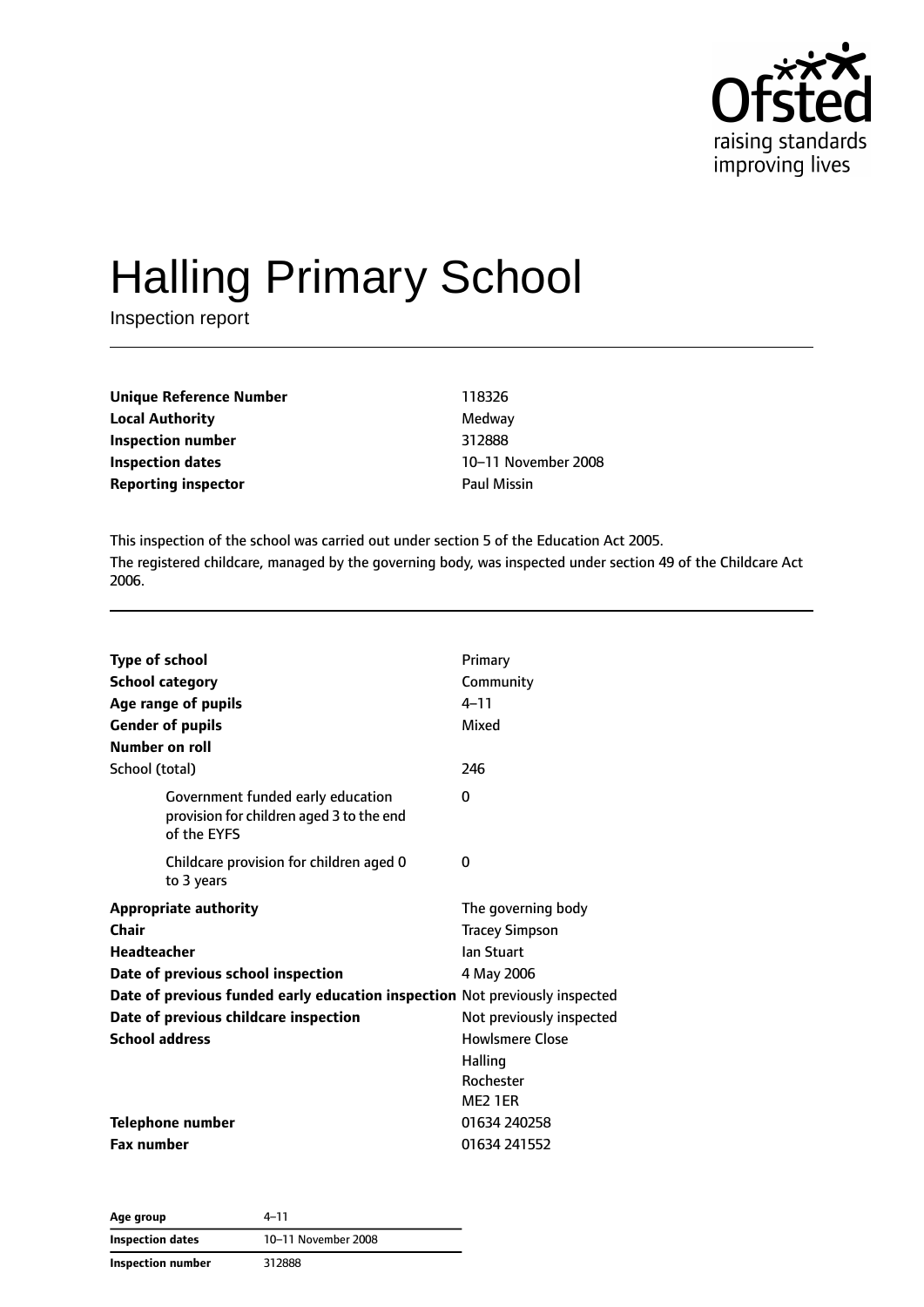

# Halling Primary School

Inspection report

| Unique Reference Number    | 118326             |
|----------------------------|--------------------|
| <b>Local Authority</b>     | Medway             |
| Inspection number          | 312888             |
| Inspection dates           | 10-11 Nove         |
| <b>Reporting inspector</b> | <b>Paul Missin</b> |

**Local Authority** Medway **Inspection number** 312888 **Inspection dates** 10–11 November 2008

This inspection of the school was carried out under section 5 of the Education Act 2005. The registered childcare, managed by the governing body, was inspected under section 49 of the Childcare Act 2006.

| <b>Type of school</b>                                                                        | Primary                  |
|----------------------------------------------------------------------------------------------|--------------------------|
| <b>School category</b>                                                                       | Community                |
| Age range of pupils                                                                          | $4 - 11$                 |
| <b>Gender of pupils</b>                                                                      | Mixed                    |
| Number on roll                                                                               |                          |
| School (total)                                                                               | 246                      |
| Government funded early education<br>provision for children aged 3 to the end<br>of the EYFS | $\Omega$                 |
| Childcare provision for children aged 0<br>to 3 years                                        | 0                        |
| <b>Appropriate authority</b>                                                                 | The governing body       |
| Chair                                                                                        | <b>Tracey Simpson</b>    |
| <b>Headteacher</b>                                                                           | lan Stuart               |
| Date of previous school inspection                                                           | 4 May 2006               |
| Date of previous funded early education inspection Not previously inspected                  |                          |
| Date of previous childcare inspection                                                        | Not previously inspected |
| <b>School address</b>                                                                        | <b>Howlsmere Close</b>   |
|                                                                                              | Halling                  |
|                                                                                              | Rochester                |
|                                                                                              | ME <sub>2</sub> 1ER      |
| <b>Telephone number</b>                                                                      | 01634 240258             |
| <b>Fax number</b>                                                                            | 01634 241552             |

| Age group               | 4–11                |
|-------------------------|---------------------|
| <b>Inspection dates</b> | 10-11 November 2008 |
| Inspection number       | 312888              |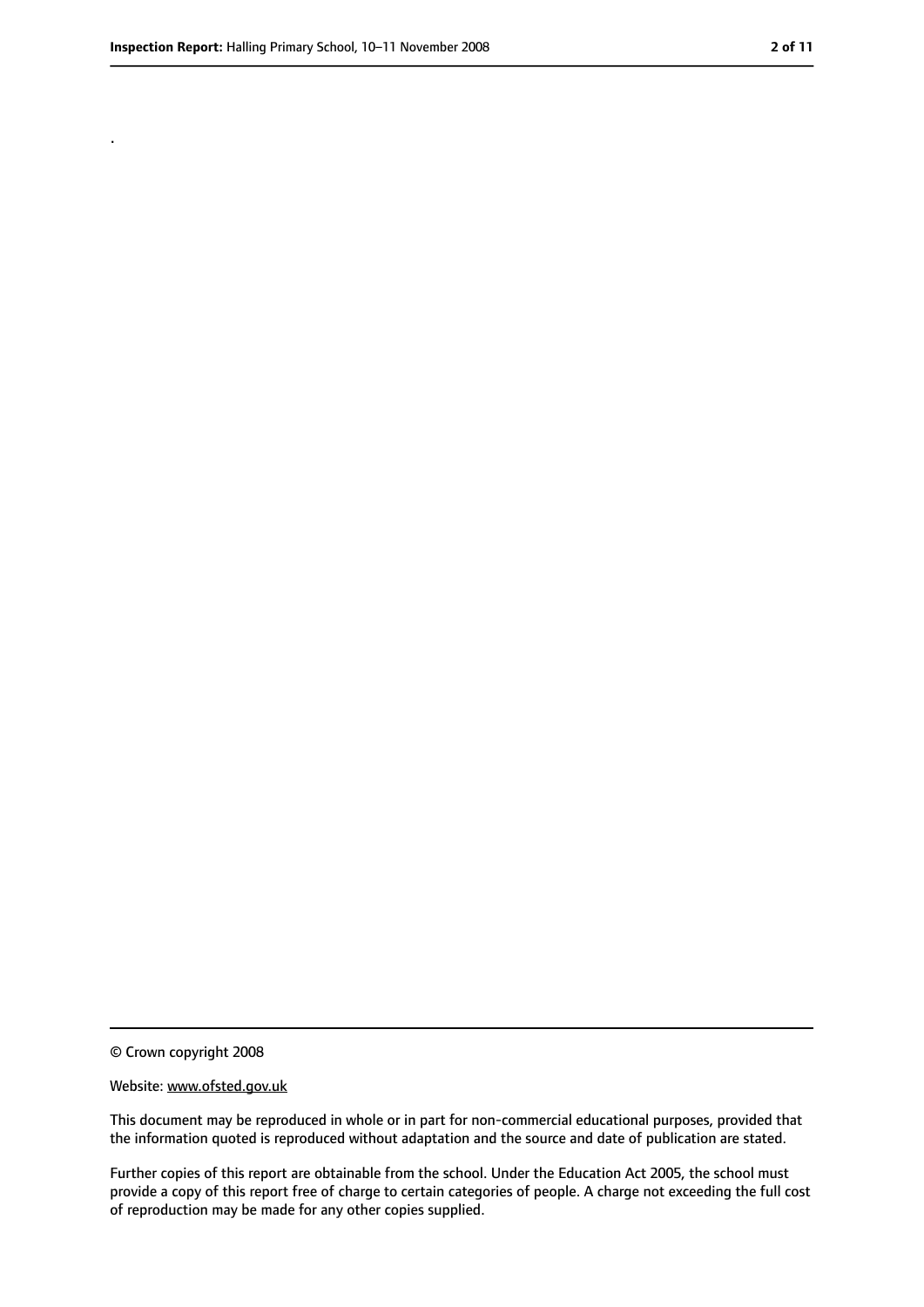.

<sup>©</sup> Crown copyright 2008

Website: www.ofsted.gov.uk

This document may be reproduced in whole or in part for non-commercial educational purposes, provided that the information quoted is reproduced without adaptation and the source and date of publication are stated.

Further copies of this report are obtainable from the school. Under the Education Act 2005, the school must provide a copy of this report free of charge to certain categories of people. A charge not exceeding the full cost of reproduction may be made for any other copies supplied.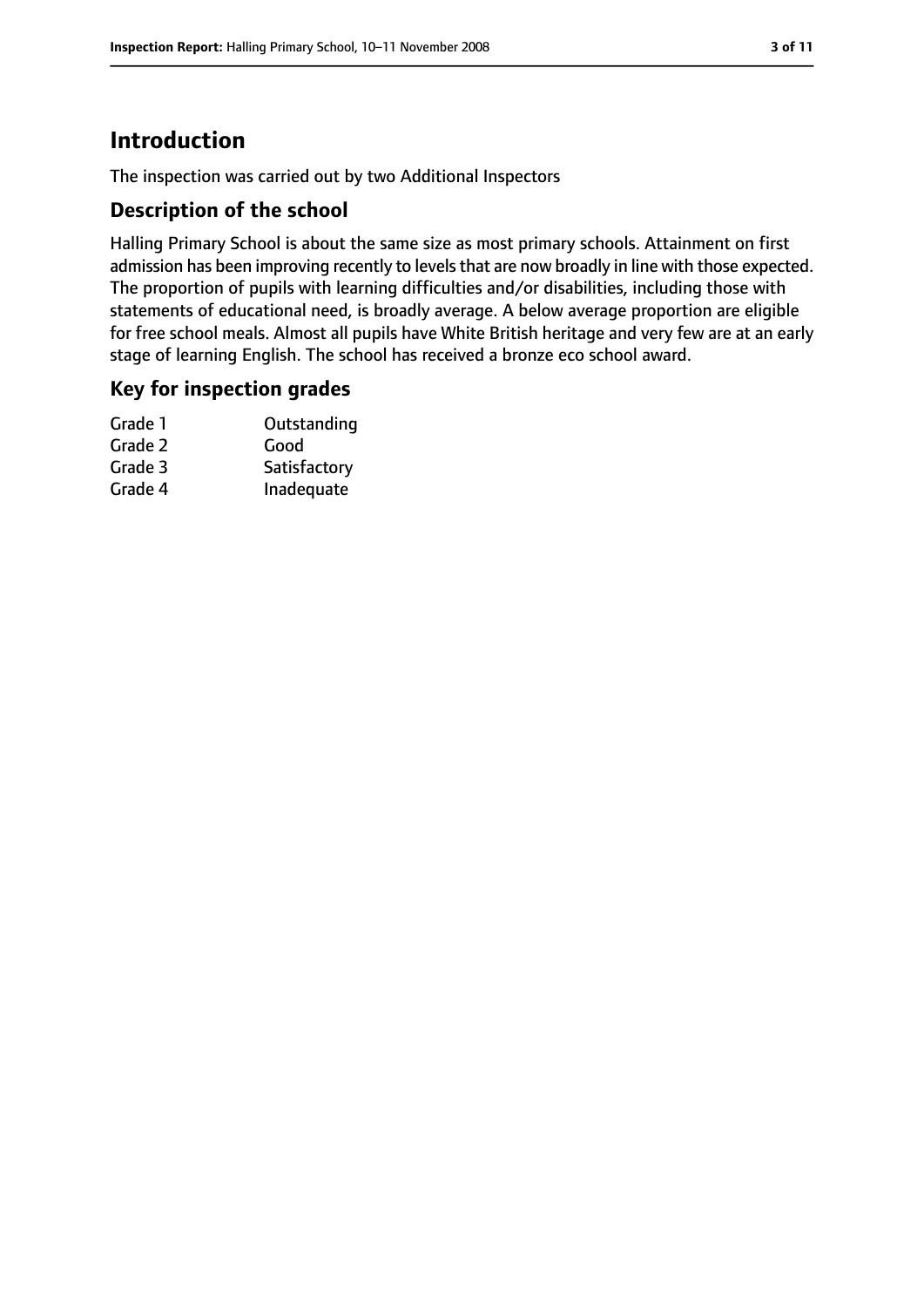# **Introduction**

The inspection was carried out by two Additional Inspectors

## **Description of the school**

Halling Primary School is about the same size as most primary schools. Attainment on first admission has been improving recently to levels that are now broadly in line with those expected. The proportion of pupils with learning difficulties and/or disabilities, including those with statements of educational need, is broadly average. A below average proportion are eligible for free school meals. Almost all pupils have White British heritage and very few are at an early stage of learning English. The school has received a bronze eco school award.

### **Key for inspection grades**

| Grade 1 | Outstanding  |
|---------|--------------|
| Grade 2 | Good         |
| Grade 3 | Satisfactory |
| Grade 4 | Inadequate   |
|         |              |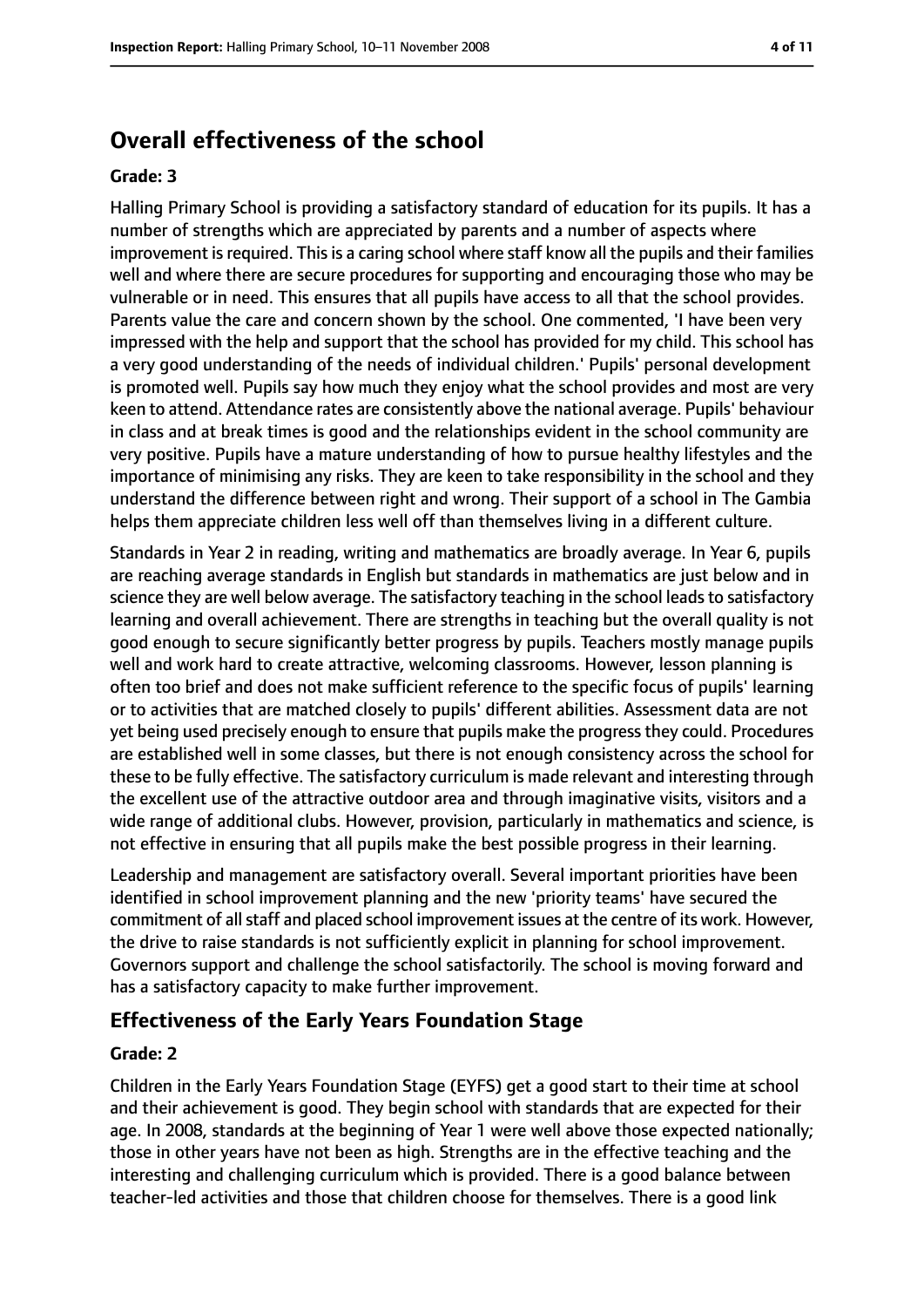# **Overall effectiveness of the school**

#### **Grade: 3**

Halling Primary School is providing a satisfactory standard of education for its pupils. It has a number of strengths which are appreciated by parents and a number of aspects where improvement isrequired. Thisis a caring school where staff know all the pupils and their families well and where there are secure procedures for supporting and encouraging those who may be vulnerable or in need. This ensures that all pupils have access to all that the school provides. Parents value the care and concern shown by the school. One commented, 'I have been very impressed with the help and support that the school has provided for my child. This school has a very good understanding of the needs of individual children.' Pupils' personal development is promoted well. Pupils say how much they enjoy what the school provides and most are very keen to attend. Attendance rates are consistently above the national average. Pupils' behaviour in class and at break times is good and the relationships evident in the school community are very positive. Pupils have a mature understanding of how to pursue healthy lifestyles and the importance of minimising any risks. They are keen to take responsibility in the school and they understand the difference between right and wrong. Their support of a school in The Gambia helps them appreciate children less well off than themselves living in a different culture.

Standards in Year 2 in reading, writing and mathematics are broadly average. In Year 6, pupils are reaching average standards in English but standards in mathematics are just below and in science they are well below average. The satisfactory teaching in the school leads to satisfactory learning and overall achievement. There are strengths in teaching but the overall quality is not good enough to secure significantly better progress by pupils. Teachers mostly manage pupils well and work hard to create attractive, welcoming classrooms. However, lesson planning is often too brief and does not make sufficient reference to the specific focus of pupils' learning or to activities that are matched closely to pupils' different abilities. Assessment data are not yet being used precisely enough to ensure that pupils make the progressthey could. Procedures are established well in some classes, but there is not enough consistency across the school for these to be fully effective. The satisfactory curriculum is made relevant and interesting through the excellent use of the attractive outdoor area and through imaginative visits, visitors and a wide range of additional clubs. However, provision, particularly in mathematics and science, is not effective in ensuring that all pupils make the best possible progress in their learning.

Leadership and management are satisfactory overall. Several important priorities have been identified in school improvement planning and the new 'priority teams' have secured the commitment of all staff and placed school improvement issues at the centre of its work. However, the drive to raise standards is not sufficiently explicit in planning for school improvement. Governors support and challenge the school satisfactorily. The school is moving forward and has a satisfactory capacity to make further improvement.

# **Effectiveness of the Early Years Foundation Stage**

#### **Grade: 2**

Children in the Early Years Foundation Stage (EYFS) get a good start to their time at school and their achievement is good. They begin school with standards that are expected for their age. In 2008, standards at the beginning of Year 1 were well above those expected nationally; those in other years have not been as high. Strengths are in the effective teaching and the interesting and challenging curriculum which is provided. There is a good balance between teacher-led activities and those that children choose for themselves. There is a good link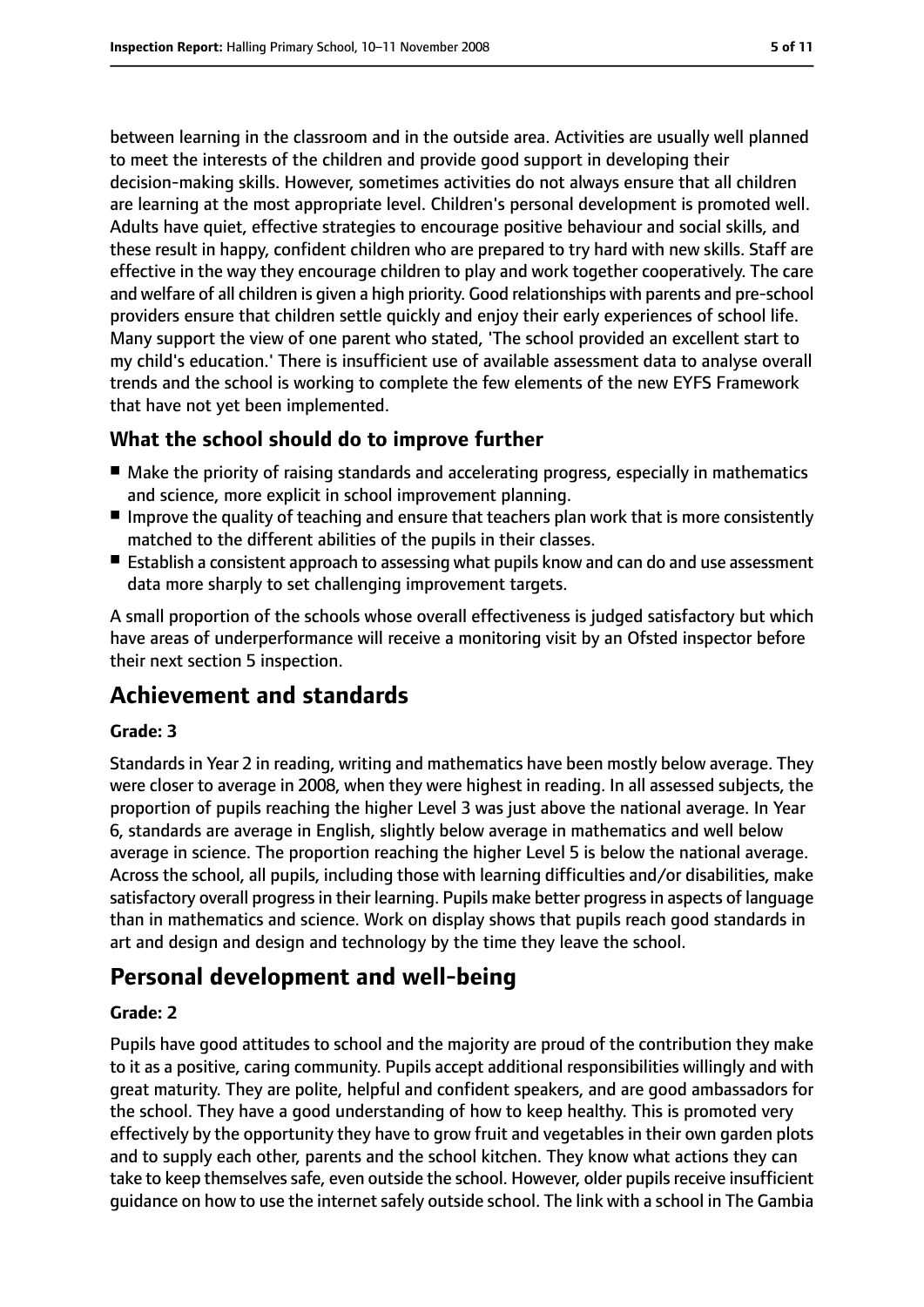between learning in the classroom and in the outside area. Activities are usually well planned to meet the interests of the children and provide good support in developing their decision-making skills. However, sometimes activities do not always ensure that all children are learning at the most appropriate level. Children's personal development is promoted well. Adults have quiet, effective strategies to encourage positive behaviour and social skills, and these result in happy, confident children who are prepared to try hard with new skills. Staff are effective in the way they encourage children to play and work together cooperatively. The care and welfare of all children is given a high priority. Good relationships with parents and pre-school providers ensure that children settle quickly and enjoy their early experiences of school life. Many support the view of one parent who stated, 'The school provided an excellent start to my child's education.' There is insufficient use of available assessment data to analyse overall trends and the school is working to complete the few elements of the new EYFS Framework that have not yet been implemented.

# **What the school should do to improve further**

- Make the priority of raising standards and accelerating progress, especially in mathematics and science, more explicit in school improvement planning.
- Improve the quality of teaching and ensure that teachers plan work that is more consistently matched to the different abilities of the pupils in their classes.
- Establish a consistent approach to assessing what pupils know and can do and use assessment data more sharply to set challenging improvement targets.

A small proportion of the schools whose overall effectiveness is judged satisfactory but which have areas of underperformance will receive a monitoring visit by an Ofsted inspector before their next section 5 inspection.

# **Achievement and standards**

### **Grade: 3**

Standards in Year 2 in reading, writing and mathematics have been mostly below average. They were closer to average in 2008, when they were highest in reading. In all assessed subjects, the proportion of pupils reaching the higher Level 3 was just above the national average. In Year 6, standards are average in English, slightly below average in mathematics and well below average in science. The proportion reaching the higher Level 5 is below the national average. Across the school, all pupils, including those with learning difficulties and/or disabilities, make satisfactory overall progressin their learning. Pupils make better progressin aspects of language than in mathematics and science. Work on display shows that pupils reach good standards in art and design and design and technology by the time they leave the school.

# **Personal development and well-being**

#### **Grade: 2**

Pupils have good attitudes to school and the majority are proud of the contribution they make to it as a positive, caring community. Pupils accept additional responsibilities willingly and with great maturity. They are polite, helpful and confident speakers, and are good ambassadors for the school. They have a good understanding of how to keep healthy. This is promoted very effectively by the opportunity they have to grow fruit and vegetables in their own garden plots and to supply each other, parents and the school kitchen. They know what actions they can take to keep themselves safe, even outside the school. However, older pupils receive insufficient guidance on how to use the internet safely outside school. The link with a school in The Gambia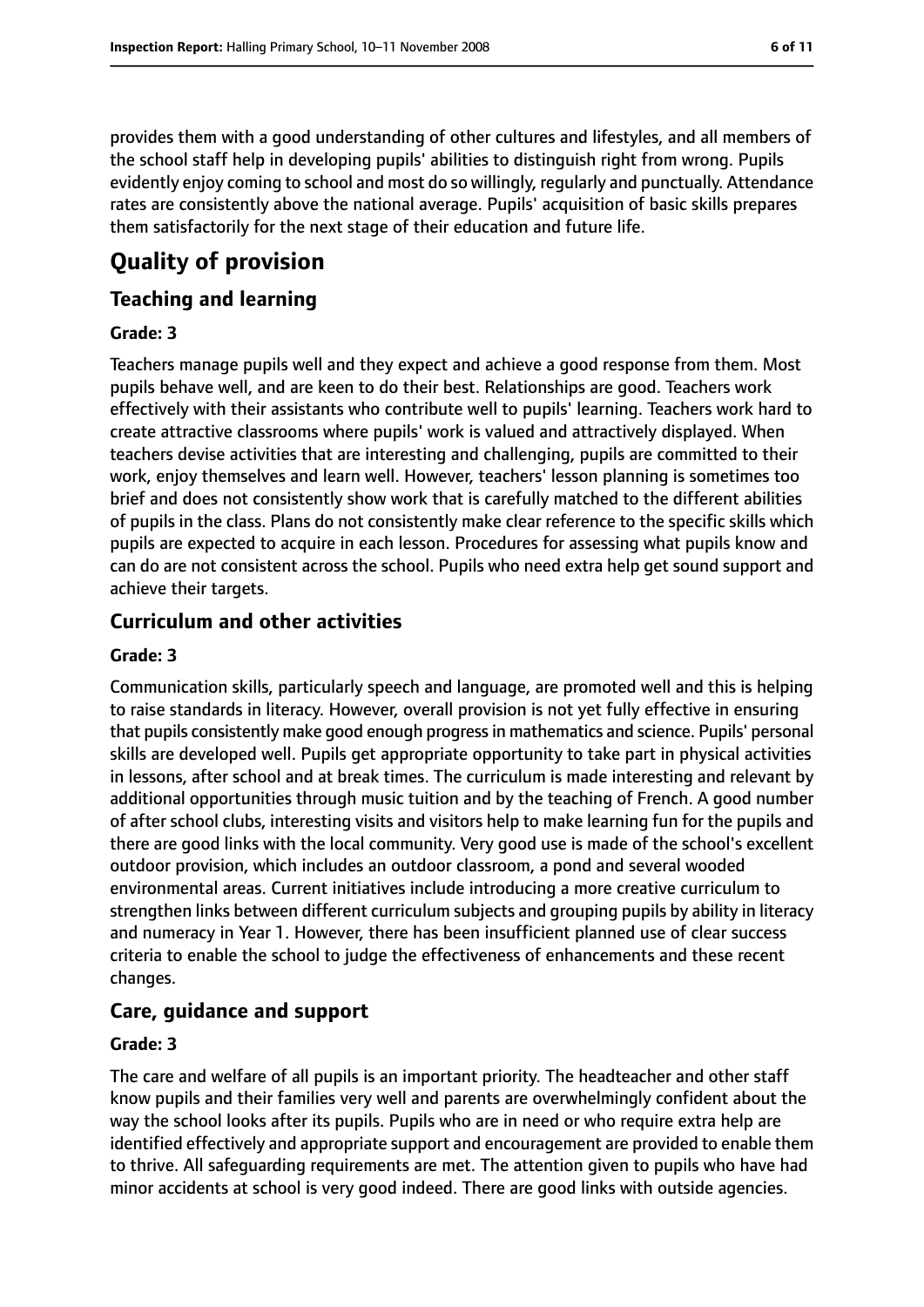provides them with a good understanding of other cultures and lifestyles, and all members of the school staff help in developing pupils' abilities to distinguish right from wrong. Pupils evidently enjoy coming to school and most do so willingly, regularly and punctually. Attendance rates are consistently above the national average. Pupils' acquisition of basic skills prepares them satisfactorily for the next stage of their education and future life.

# **Quality of provision**

## **Teaching and learning**

#### **Grade: 3**

Teachers manage pupils well and they expect and achieve a good response from them. Most pupils behave well, and are keen to do their best. Relationships are good. Teachers work effectively with their assistants who contribute well to pupils' learning. Teachers work hard to create attractive classrooms where pupils' work is valued and attractively displayed. When teachers devise activities that are interesting and challenging, pupils are committed to their work, enjoy themselves and learn well. However, teachers' lesson planning is sometimes too brief and does not consistently show work that is carefully matched to the different abilities of pupils in the class. Plans do not consistently make clear reference to the specific skills which pupils are expected to acquire in each lesson. Procedures for assessing what pupils know and can do are not consistent across the school. Pupils who need extra help get sound support and achieve their targets.

## **Curriculum and other activities**

#### **Grade: 3**

Communication skills, particularly speech and language, are promoted well and this is helping to raise standards in literacy. However, overall provision is not yet fully effective in ensuring that pupils consistently make good enough progressin mathematics and science. Pupils' personal skills are developed well. Pupils get appropriate opportunity to take part in physical activities in lessons, after school and at break times. The curriculum is made interesting and relevant by additional opportunities through music tuition and by the teaching of French. A good number of after school clubs, interesting visits and visitors help to make learning fun for the pupils and there are good links with the local community. Very good use is made of the school's excellent outdoor provision, which includes an outdoor classroom, a pond and several wooded environmental areas. Current initiatives include introducing a more creative curriculum to strengthen links between different curriculum subjects and grouping pupils by ability in literacy and numeracy in Year 1. However, there has been insufficient planned use of clear success criteria to enable the school to judge the effectiveness of enhancements and these recent changes.

### **Care, guidance and support**

#### **Grade: 3**

The care and welfare of all pupils is an important priority. The headteacher and other staff know pupils and their families very well and parents are overwhelmingly confident about the way the school looks after its pupils. Pupils who are in need or who require extra help are identified effectively and appropriate support and encouragement are provided to enable them to thrive. All safeguarding requirements are met. The attention given to pupils who have had minor accidents at school is very good indeed. There are good links with outside agencies.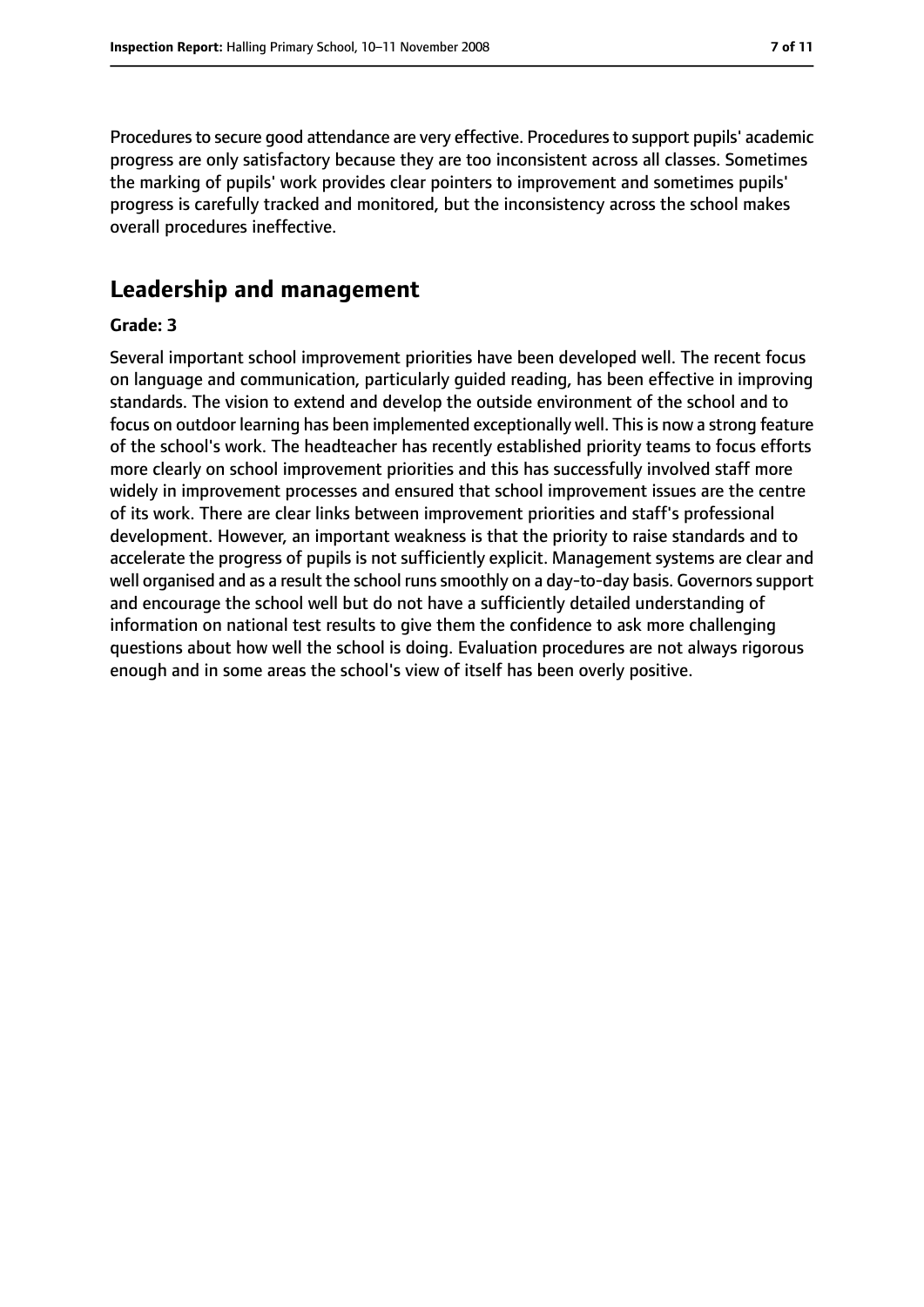Procedures to secure good attendance are very effective. Procedures to support pupils' academic progress are only satisfactory because they are too inconsistent across all classes. Sometimes the marking of pupils' work provides clear pointers to improvement and sometimes pupils' progress is carefully tracked and monitored, but the inconsistency across the school makes overall procedures ineffective.

# **Leadership and management**

#### **Grade: 3**

Several important school improvement priorities have been developed well. The recent focus on language and communication, particularly guided reading, has been effective in improving standards. The vision to extend and develop the outside environment of the school and to focus on outdoor learning has been implemented exceptionally well. This is now a strong feature of the school's work. The headteacher has recently established priority teams to focus efforts more clearly on school improvement priorities and this has successfully involved staff more widely in improvement processes and ensured that school improvement issues are the centre of its work. There are clear links between improvement priorities and staff's professional development. However, an important weakness is that the priority to raise standards and to accelerate the progress of pupils is not sufficiently explicit. Management systems are clear and well organised and as a result the school runs smoothly on a day-to-day basis. Governors support and encourage the school well but do not have a sufficiently detailed understanding of information on national test results to give them the confidence to ask more challenging questions about how well the school is doing. Evaluation procedures are not always rigorous enough and in some areas the school's view of itself has been overly positive.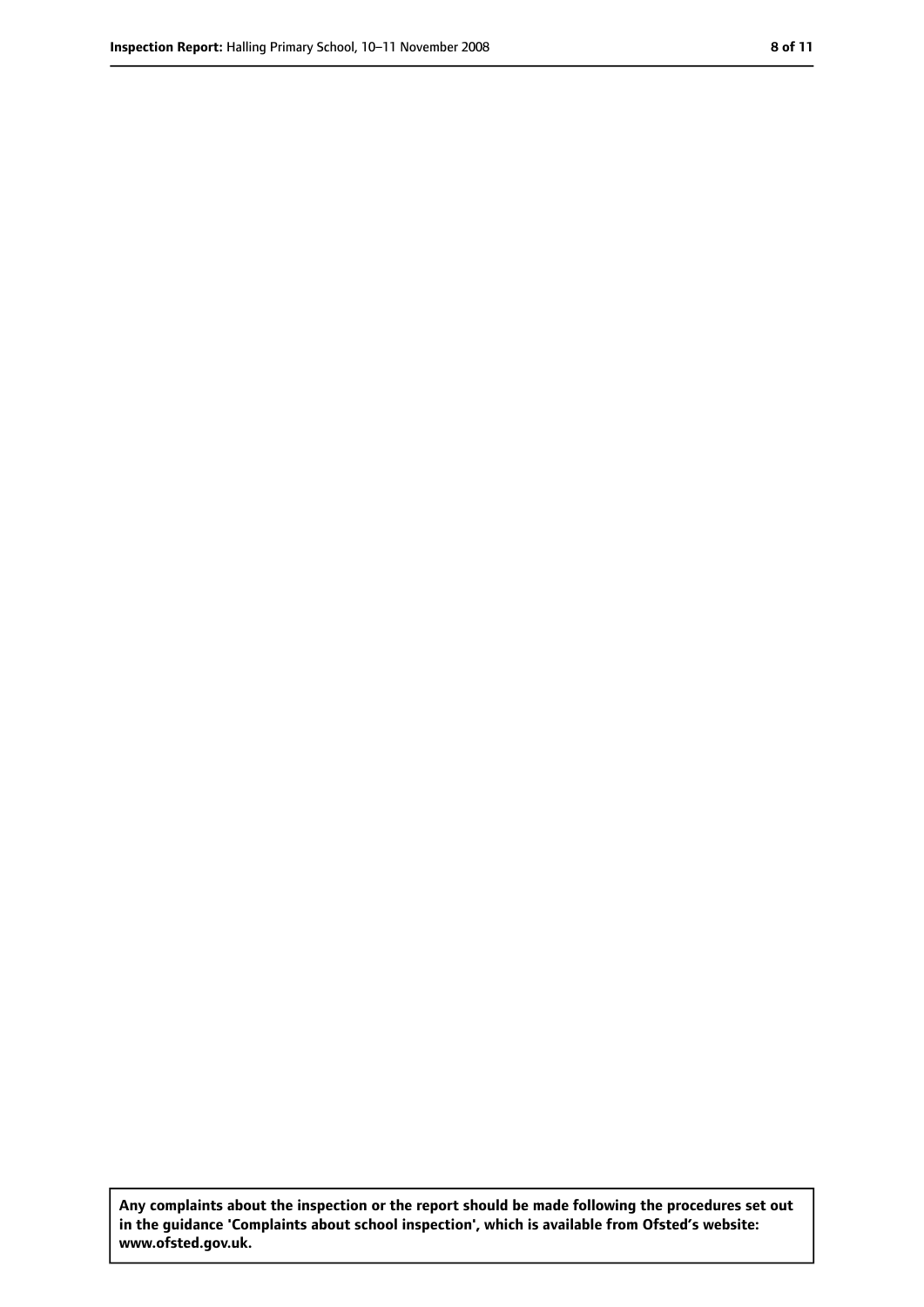**Any complaints about the inspection or the report should be made following the procedures set out in the guidance 'Complaints about school inspection', which is available from Ofsted's website: www.ofsted.gov.uk.**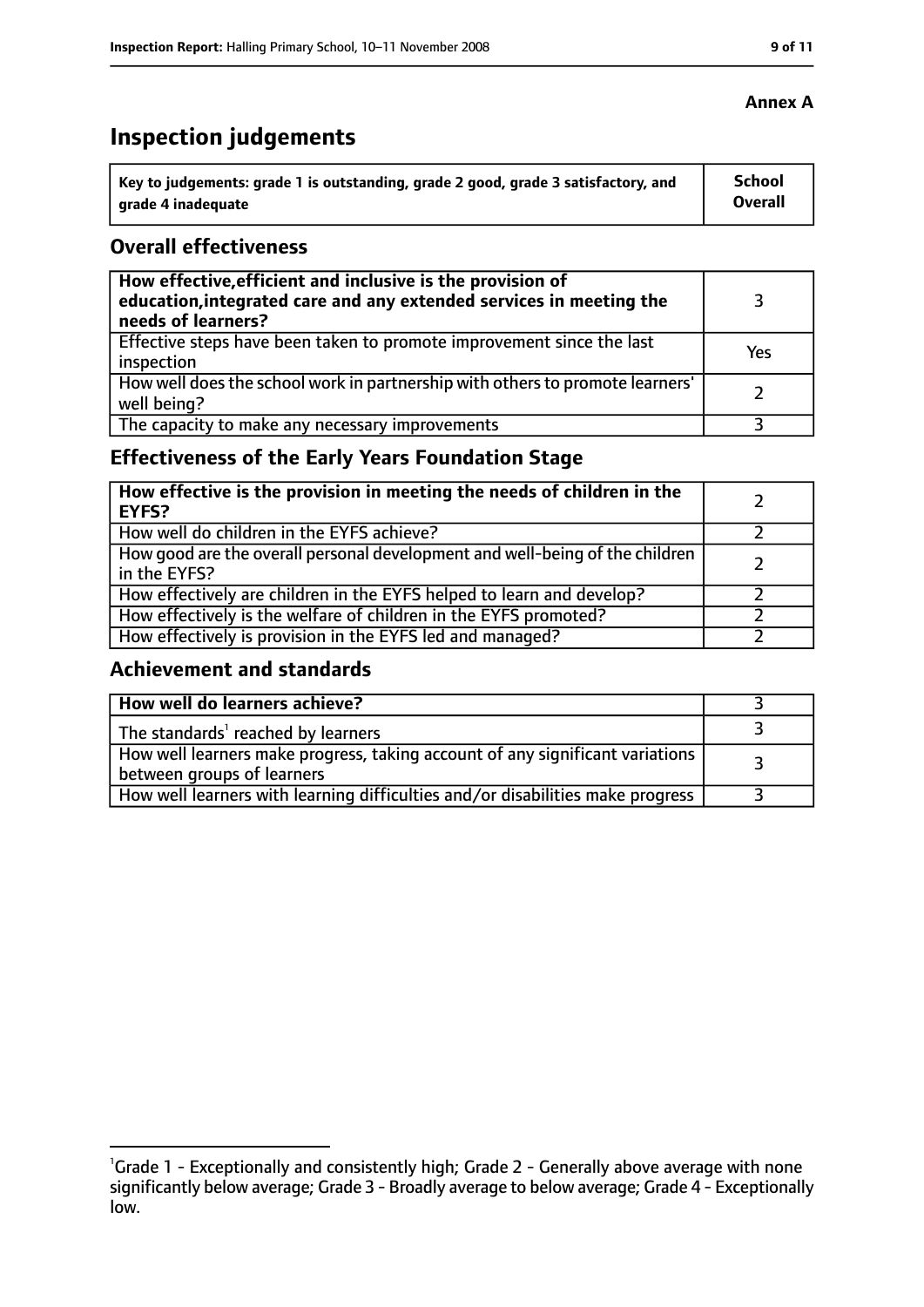# **Inspection judgements**

| $^{\cdot}$ Key to judgements: grade 1 is outstanding, grade 2 good, grade 3 satisfactory, and | School         |
|-----------------------------------------------------------------------------------------------|----------------|
| arade 4 inadequate                                                                            | <b>Overall</b> |

## **Overall effectiveness**

| How effective, efficient and inclusive is the provision of<br>education, integrated care and any extended services in meeting the<br>needs of learners? |     |
|---------------------------------------------------------------------------------------------------------------------------------------------------------|-----|
| Effective steps have been taken to promote improvement since the last<br>inspection                                                                     | Yes |
| How well does the school work in partnership with others to promote learners'<br>well being?                                                            |     |
| The capacity to make any necessary improvements                                                                                                         |     |

# **Effectiveness of the Early Years Foundation Stage**

| How effective is the provision in meeting the needs of children in the<br><b>EYFS?</b>       |  |
|----------------------------------------------------------------------------------------------|--|
| How well do children in the EYFS achieve?                                                    |  |
| How good are the overall personal development and well-being of the children<br>in the EYFS? |  |
| How effectively are children in the EYFS helped to learn and develop?                        |  |
| How effectively is the welfare of children in the EYFS promoted?                             |  |
| How effectively is provision in the EYFS led and managed?                                    |  |

# **Achievement and standards**

| How well do learners achieve?                                                                               |  |
|-------------------------------------------------------------------------------------------------------------|--|
| The standards <sup>1</sup> reached by learners                                                              |  |
| How well learners make progress, taking account of any significant variations<br>between groups of learners |  |
| How well learners with learning difficulties and/or disabilities make progress                              |  |

# **Annex A**

<sup>&</sup>lt;sup>1</sup>Grade 1 - Exceptionally and consistently high; Grade 2 - Generally above average with none significantly below average; Grade 3 - Broadly average to below average; Grade 4 - Exceptionally low.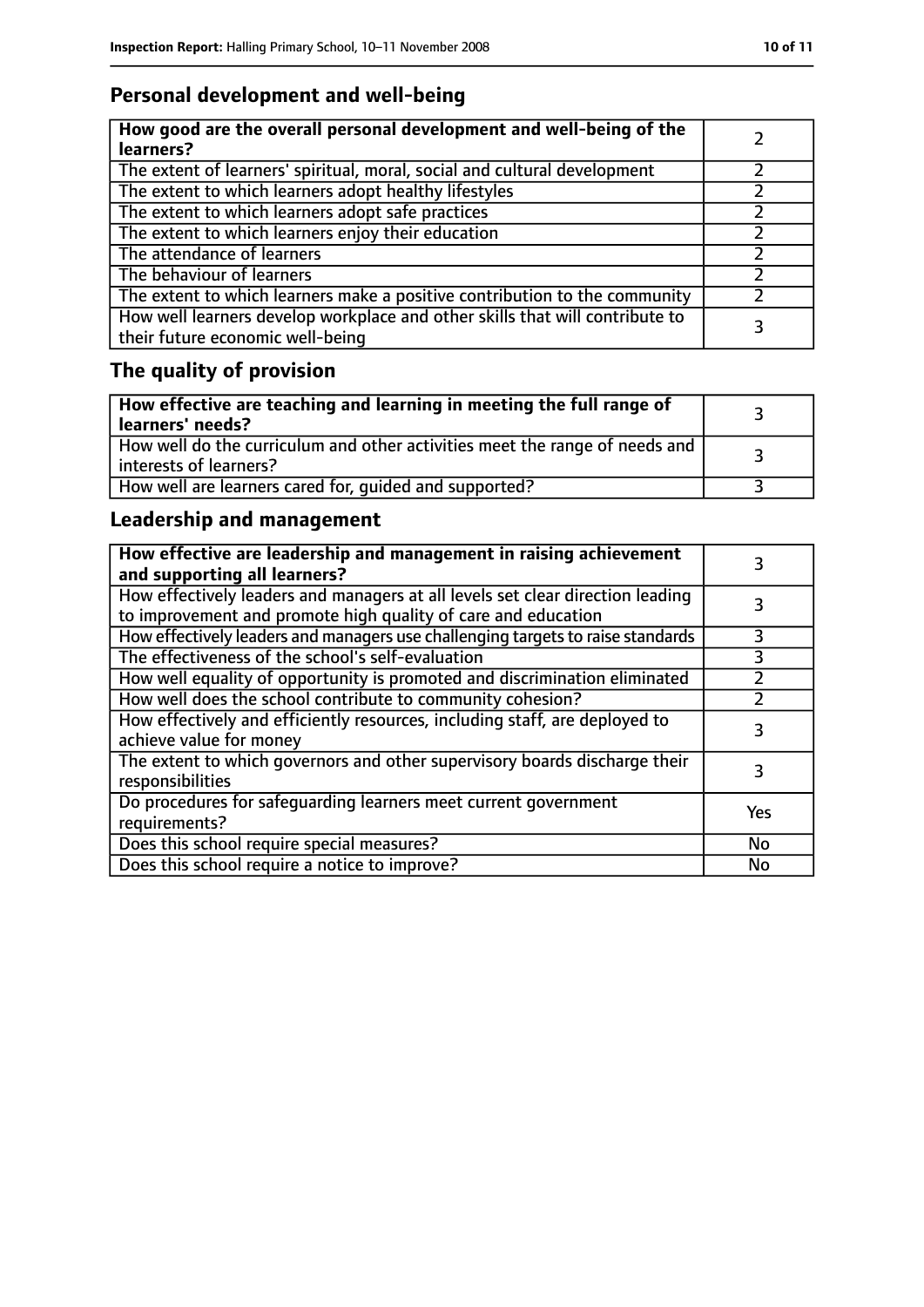# **Personal development and well-being**

| How good are the overall personal development and well-being of the<br>learners?                                 |  |
|------------------------------------------------------------------------------------------------------------------|--|
| The extent of learners' spiritual, moral, social and cultural development                                        |  |
| The extent to which learners adopt healthy lifestyles                                                            |  |
| The extent to which learners adopt safe practices                                                                |  |
| The extent to which learners enjoy their education                                                               |  |
| The attendance of learners                                                                                       |  |
| The behaviour of learners                                                                                        |  |
| The extent to which learners make a positive contribution to the community                                       |  |
| How well learners develop workplace and other skills that will contribute to<br>their future economic well-being |  |

# **The quality of provision**

| How effective are teaching and learning in meeting the full range of<br>learners' needs?                |  |
|---------------------------------------------------------------------------------------------------------|--|
| How well do the curriculum and other activities meet the range of needs and<br>  interests of learners? |  |
| How well are learners cared for, quided and supported?                                                  |  |

# **Leadership and management**

| How effective are leadership and management in raising achievement<br>and supporting all learners?                                              |     |
|-------------------------------------------------------------------------------------------------------------------------------------------------|-----|
| How effectively leaders and managers at all levels set clear direction leading<br>to improvement and promote high quality of care and education |     |
| How effectively leaders and managers use challenging targets to raise standards                                                                 |     |
| The effectiveness of the school's self-evaluation                                                                                               | 3   |
| How well equality of opportunity is promoted and discrimination eliminated                                                                      |     |
| How well does the school contribute to community cohesion?                                                                                      |     |
| How effectively and efficiently resources, including staff, are deployed to<br>achieve value for money                                          | 3   |
| The extent to which governors and other supervisory boards discharge their<br>responsibilities                                                  |     |
| Do procedures for safequarding learners meet current government<br>requirements?                                                                | Yes |
| Does this school require special measures?                                                                                                      | No  |
| Does this school require a notice to improve?                                                                                                   | No  |